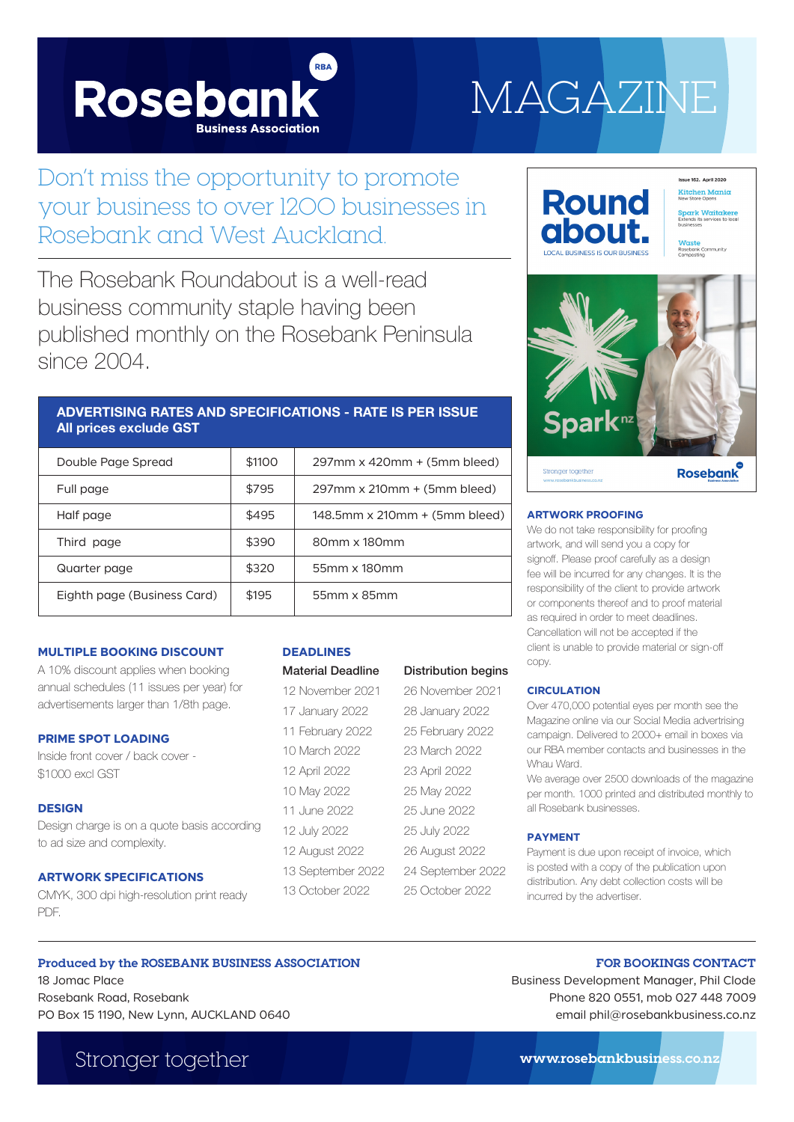

# MAGAZINE

## Don't miss the opportunity to promote your business to over 1200 businesses in Rosebank and West Auckland.

The Rosebank Roundabout is a well-read business community staple having been published monthly on the Rosebank Peninsula since 2004.

## **ADVERTISING RATES AND SPECIFICATIONS - RATE IS PER ISSUE All prices exclude GST**

| Double Page Spread          | \$1100 | $297$ mm x 420mm + (5mm bleed) |
|-----------------------------|--------|--------------------------------|
| Full page                   | \$795  | $297$ mm x 210mm + (5mm bleed) |
| Half page                   | \$495  | 148.5mm x 210mm + (5mm bleed)  |
| Third page                  | \$390  | 80mm x 180mm                   |
| Quarter page                | \$320  | 55mm x 180mm                   |
| Eighth page (Business Card) | \$195  | 55mm x 85mm                    |

#### **MULTIPLE BOOKING DISCOUNT**

A 10% discount applies when booking annual schedules (11 issues per year) for advertisements larger than 1/8th page.

#### **PRIME SPOT LOADING**

Inside front cover / back cover - \$1000 excl GST

#### **DESIGN**

Design charge is on a quote basis according to ad size and complexity.

#### **ARTWORK SPECIFICATIONS**

CMYK, 300 dpi high-resolution print ready PDF.

#### **DEADLINES**

| <b>Material Deadline</b> | <b>Distribution begins</b> |
|--------------------------|----------------------------|
| 12 November 2021         | 26 November 2021           |
| 17 January 2022          | 28 January 2022            |
| 11 February 2022         | 25 February 2022           |
| 10 March 2022            | 23 March 2022              |
| 12 April 2022            | 23 April 2022              |
| 10 May 2022              | 25 May 2022                |
| 11 June 2022             | 25 June 2022               |
| 12 July 2022             | 25 July 2022               |
| 12 August 2022           | 26 August 2022             |
| 13 September 2022        | 24 September 2022          |
| 13 October 2022          | 25 October 2022            |



#### **ARTWORK PROOFING**

We do not take responsibility for proofing artwork, and will send you a copy for signoff. Please proof carefully as a design fee will be incurred for any changes. It is the responsibility of the client to provide artwork or components thereof and to proof material as required in order to meet deadlines. Cancellation will not be accepted if the client is unable to provide material or sign-off copy.

#### **CIRCULATION**

Over 470,000 potential eyes per month see the Magazine online via our Social Media advertrising campaign. Delivered to 2000+ email in boxes via our RBA member contacts and businesses in the Whau Ward.

We average over 2500 downloads of the magazine per month. 1000 printed and distributed monthly to all Rosebank businesses.

#### **PAYMENT**

Payment is due upon receipt of invoice, which is posted with a copy of the publication upon distribution. Any debt collection costs will be incurred by the advertiser.

#### **Produced by the ROSEBANK BUSINESS ASSOCIATION**

18 Jomac Place Rosebank Road, Rosebank PO Box 15 1190, New Lynn, AUCKLAND 0640

Stronger together **www.rosebankbusiness.co.nz**

Business Development Manager, Phil Clode Phone 820 0551, mob 027 448 7009 email phil@rosebankbusiness.co.nz

**FOR BOOKINGS CONTACT**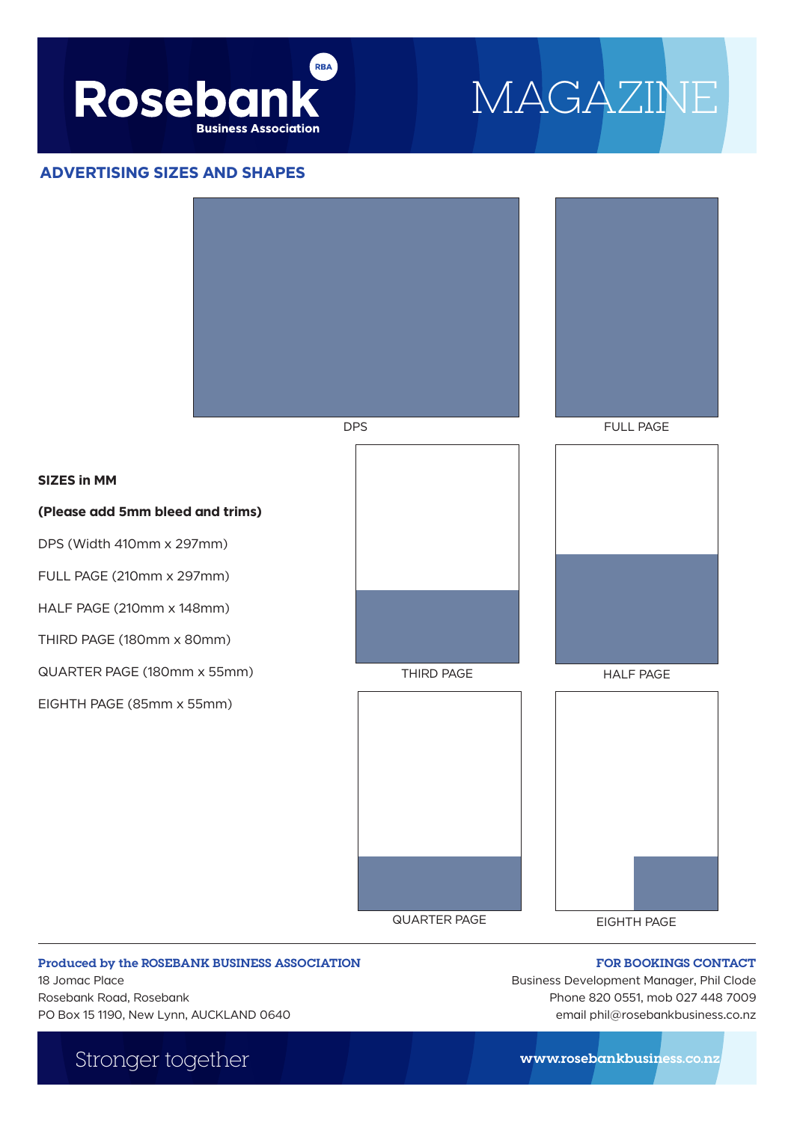

## MAGAZINE

### **ADVERTISING SIZES AND SHAPES**

**SIZES in MM** 



QUARTER PAGE EIGHTH PAGE



#### **Produced by the ROSEBANK BUSINESS ASSOCIATION**

18 Jomac Place Rosebank Road, Rosebank PO Box 15 1190, New Lynn, AUCKLAND 0640

**FOR BOOKINGS CONTACT** Business Development Manager, Phil Clode Phone 820 0551, mob 027 448 7009

email phil@rosebankbusiness.co.nz

Stronger together **www.rosebankbusiness.co.nz**